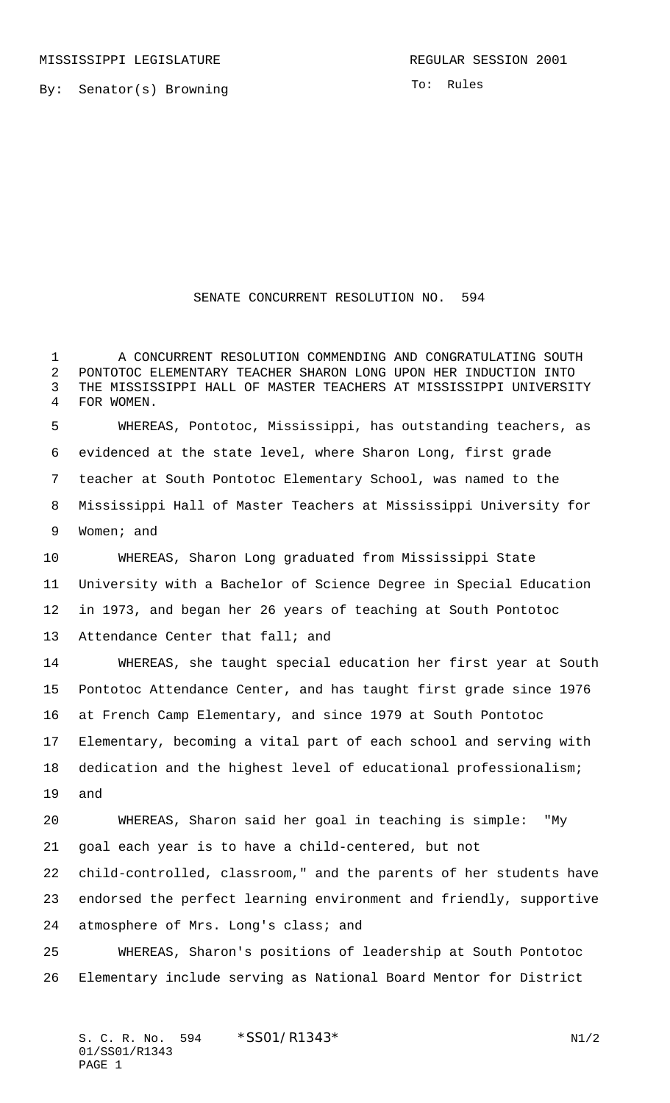By: Senator(s) Browning

To: Rules

## SENATE CONCURRENT RESOLUTION NO. 594

 A CONCURRENT RESOLUTION COMMENDING AND CONGRATULATING SOUTH PONTOTOC ELEMENTARY TEACHER SHARON LONG UPON HER INDUCTION INTO THE MISSISSIPPI HALL OF MASTER TEACHERS AT MISSISSIPPI UNIVERSITY FOR WOMEN.

 WHEREAS, Pontotoc, Mississippi, has outstanding teachers, as evidenced at the state level, where Sharon Long, first grade teacher at South Pontotoc Elementary School, was named to the Mississippi Hall of Master Teachers at Mississippi University for Women; and

 WHEREAS, Sharon Long graduated from Mississippi State University with a Bachelor of Science Degree in Special Education in 1973, and began her 26 years of teaching at South Pontotoc Attendance Center that fall; and

 WHEREAS, she taught special education her first year at South Pontotoc Attendance Center, and has taught first grade since 1976 at French Camp Elementary, and since 1979 at South Pontotoc Elementary, becoming a vital part of each school and serving with dedication and the highest level of educational professionalism; and

 WHEREAS, Sharon said her goal in teaching is simple: "My goal each year is to have a child-centered, but not

 child-controlled, classroom," and the parents of her students have endorsed the perfect learning environment and friendly, supportive atmosphere of Mrs. Long's class; and

 WHEREAS, Sharon's positions of leadership at South Pontotoc Elementary include serving as National Board Mentor for District